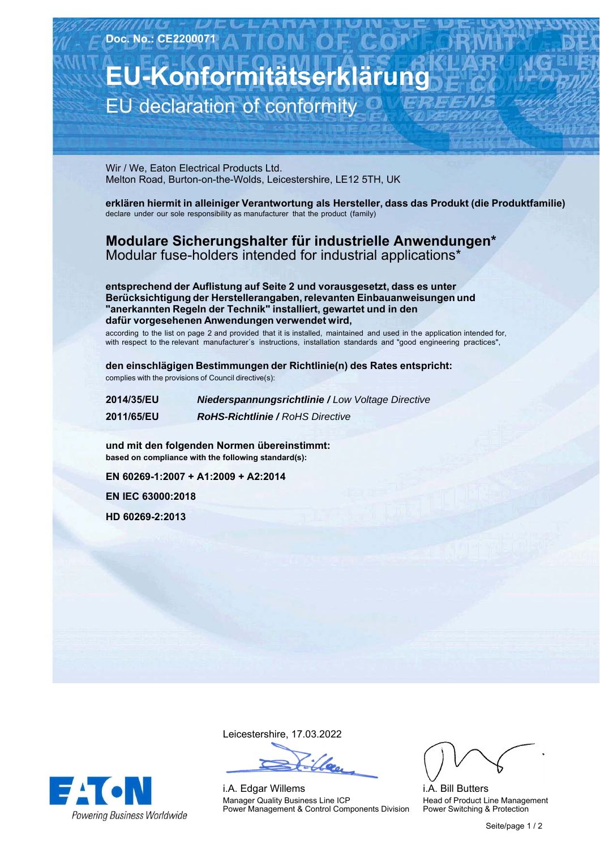## **EU-Konformitätserklärung** EU declaration of conformity

Wir / We, Eaton Electrical Products Ltd. Melton Road, Burton-on-the-Wolds, Leicestershire, LE12 5TH, UK

**erklären hiermit in alleiniger Verantwortung als Hersteller, dass das Produkt (die Produktfamilie)** declare under our sole responsibility as manufacturer that the product (family)

## **Modulare-Sicherungshalter-für-industrielle-Anwendungen\*** Modular fuse-holders intended for industrial applications\*

**entsprechend der Auflistung auf Seite 2 und vorausgesetzt, dass es unter Berücksichtigung der Herstellerangaben, relevanten Einbauanweisungen und "anerkannten Regeln der Technik" installiert, gewartet und in den dafür vorgesehenen Anwendungen verwendet wird,**

according to the list on page 2 and provided that it is installed, maintained and used in the application intended for, with respect to the relevant manufacturer´s instructions, installation standards and "good engineering practices",

**den einschlägigen Bestimmungen der Richtlinie(n) des Rates entspricht:** complies with the provisions of Council directive(s):

| 2014/35/EU | <b>Niederspannungsrichtlinie / Low Voltage Directive</b> |
|------------|----------------------------------------------------------|
| 2011/65/EU | <b>RoHS-Richtlinie / RoHS Directive</b>                  |

**und-mit-den-folgenden-Normen-übereinstimmt: based on compliance with the following standard(s):** 

**EN-60269-1:2007-+-A1:2009-+-A2:2014**

**EN-IEC-63000:2018**

**HD-60269-2:2013**

**EA ON** 

**Powering Business Worldwide** 

Leicestershire,-17.03.2022

i.A. Edgar Willems Manager Quality Business Line ICP Power Management & Control Components Division

i.A. Bill Butters Head of Product Line Management Power Switching & Protection